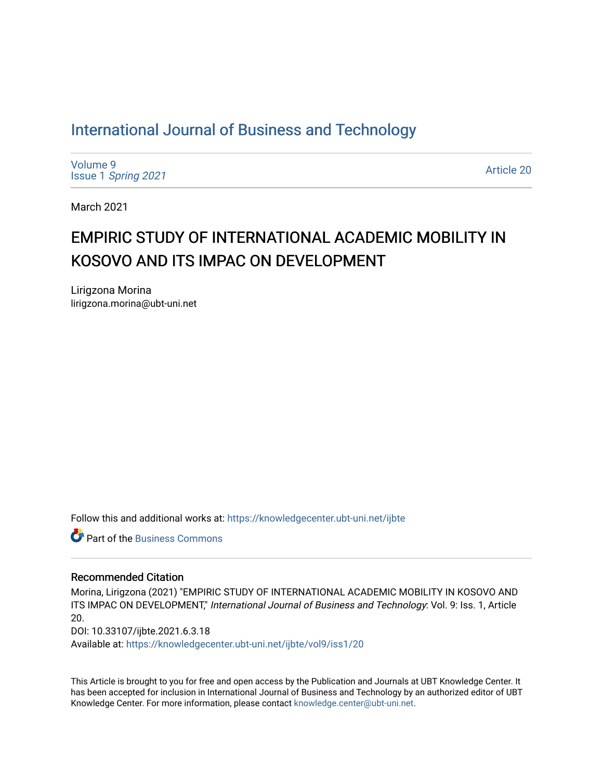# [International Journal of Business and Technology](https://knowledgecenter.ubt-uni.net/ijbte)

[Volume 9](https://knowledgecenter.ubt-uni.net/ijbte/vol9) Issue 1 [Spring 2021](https://knowledgecenter.ubt-uni.net/ijbte/vol9/iss1) 

[Article 20](https://knowledgecenter.ubt-uni.net/ijbte/vol9/iss1/20) 

March 2021

# EMPIRIC STUDY OF INTERNATIONAL ACADEMIC MOBILITY IN KOSOVO AND ITS IMPAC ON DEVELOPMENT

Lirigzona Morina lirigzona.morina@ubt-uni.net

Follow this and additional works at: [https://knowledgecenter.ubt-uni.net/ijbte](https://knowledgecenter.ubt-uni.net/ijbte?utm_source=knowledgecenter.ubt-uni.net%2Fijbte%2Fvol9%2Fiss1%2F20&utm_medium=PDF&utm_campaign=PDFCoverPages) 

**C** Part of the [Business Commons](https://network.bepress.com/hgg/discipline/622?utm_source=knowledgecenter.ubt-uni.net%2Fijbte%2Fvol9%2Fiss1%2F20&utm_medium=PDF&utm_campaign=PDFCoverPages)

#### Recommended Citation

Morina, Lirigzona (2021) "EMPIRIC STUDY OF INTERNATIONAL ACADEMIC MOBILITY IN KOSOVO AND ITS IMPAC ON DEVELOPMENT," International Journal of Business and Technology: Vol. 9: Iss. 1, Article 20. DOI: 10.33107/ijbte.2021.6.3.18 Available at: [https://knowledgecenter.ubt-uni.net/ijbte/vol9/iss1/20](https://knowledgecenter.ubt-uni.net/ijbte/vol9/iss1/20?utm_source=knowledgecenter.ubt-uni.net%2Fijbte%2Fvol9%2Fiss1%2F20&utm_medium=PDF&utm_campaign=PDFCoverPages) 

This Article is brought to you for free and open access by the Publication and Journals at UBT Knowledge Center. It has been accepted for inclusion in International Journal of Business and Technology by an authorized editor of UBT Knowledge Center. For more information, please contact [knowledge.center@ubt-uni.net](mailto:knowledge.center@ubt-uni.net).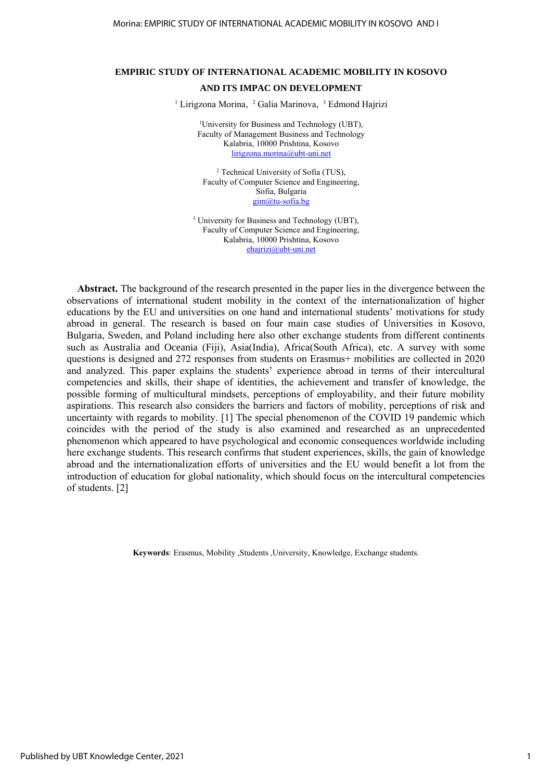### **EMPIRIC STUDY OF INTERNATIONAL ACADEMIC MOBILITY IN KOSOVO AND ITS IMPAC ON DEVELOPMENT**

<sup>1</sup> Lirigzona Morina, <sup>2</sup> Galia Marinova, <sup>3</sup> Edmond Hajrizi

<sup>1</sup>University for Business and Technology (UBT), Faculty of Management Business and Technology Kalabria, 10000 Prishtina, Kosovo [lirigzona.morina@ubt-uni.net](mailto:faton.maliqi@ubt-uni.net)

<sup>2</sup> Technical University of Sofia (TUS), Faculty of Computer Science and Engineering, Sofia, Bulgaria gim@tu-sofia.bg

<sup>3</sup> University for Business and Technology (UBT), Faculty of Computer Science and Engineering, Kalabria, 10000 Prishtina, Kosovo [ehajrizi@ubt-uni.net](mailto:ehajrizi@ubt-uni.net)

**Abstract.** The background of the research presented in the paper lies in the divergence between the observations of international student mobility in the context of the internationalization of higher educations by the EU and universities on one hand and international students' motivations for study abroad in general. The research is based on four main case studies of Universities in Kosovo, Bulgaria, Sweden, and Poland including here also other exchange students from different continents such as Australia and Oceania (Fiji), Asia(India), Africa(South Africa), etc. A survey with some questions is designed and 272 responses from students on Erasmus+ mobilities are collected in 2020 and analyzed. This paper explains the students' experience abroad in terms of their intercultural competencies and skills, their shape of identities, the achievement and transfer of knowledge, the possible forming of multicultural mindsets, perceptions of employability, and their future mobility aspirations. This research also considers the barriers and factors of mobility, perceptions of risk and uncertainty with regards to mobility. [1] The special phenomenon of the COVID 19 pandemic which coincides with the period of the study is also examined and researched as an unprecedented phenomenon which appeared to have psychological and economic consequences worldwide including here exchange students. This research confirms that student experiences, skills, the gain of knowledge abroad and the internationalization efforts of universities and the EU would benefit a lot from the introduction of education for global nationality, which should focus on the intercultural competencies of students. [2]

**Keywords**: Erasmus, Mobility ,Students ,University, Knowledge, Exchange students.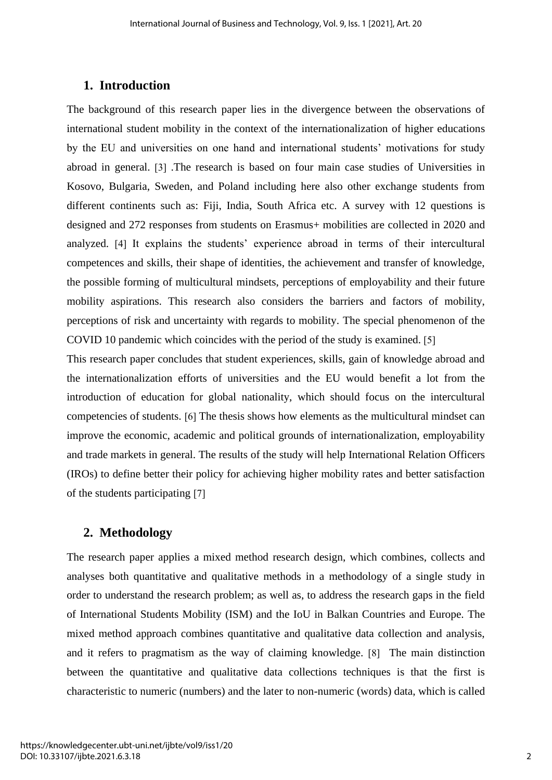## **1. Introduction**

The background of this research paper lies in the divergence between the observations of international student mobility in the context of the internationalization of higher educations by the EU and universities on one hand and international students' motivations for study abroad in general. [3] .The research is based on four main case studies of Universities in Kosovo, Bulgaria, Sweden, and Poland including here also other exchange students from different continents such as: Fiji, India, South Africa etc. A survey with 12 questions is designed and 272 responses from students on Erasmus+ mobilities are collected in 2020 and analyzed. [4] It explains the students' experience abroad in terms of their intercultural competences and skills, their shape of identities, the achievement and transfer of knowledge, the possible forming of multicultural mindsets, perceptions of employability and their future mobility aspirations. This research also considers the barriers and factors of mobility, perceptions of risk and uncertainty with regards to mobility. The special phenomenon of the COVID 10 pandemic which coincides with the period of the study is examined. [5]

This research paper concludes that student experiences, skills, gain of knowledge abroad and the internationalization efforts of universities and the EU would benefit a lot from the introduction of education for global nationality, which should focus on the intercultural competencies of students. [6] The thesis shows how elements as the multicultural mindset can improve the economic, academic and political grounds of internationalization, employability and trade markets in general. The results of the study will help International Relation Officers (IROs) to define better their policy for achieving higher mobility rates and better satisfaction of the students participating [7]

## **2. Methodology**

The research paper applies a mixed method research design, which combines, collects and analyses both quantitative and qualitative methods in a methodology of a single study in order to understand the research problem; as well as, to address the research gaps in the field of International Students Mobility (ISM) and the IoU in Balkan Countries and Europe. The mixed method approach combines quantitative and qualitative data collection and analysis, and it refers to pragmatism as the way of claiming knowledge. [8] The main distinction between the quantitative and qualitative data collections techniques is that the first is characteristic to numeric (numbers) and the later to non-numeric (words) data, which is called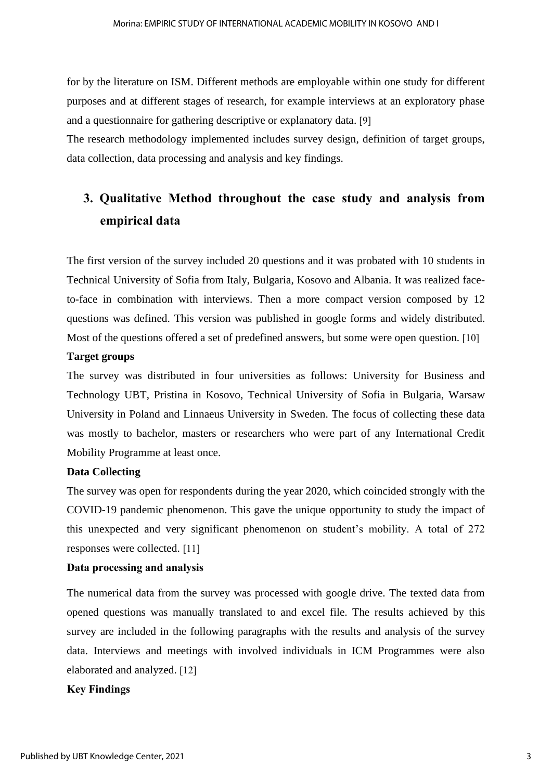for by the literature on ISM. Different methods are employable within one study for different purposes and at different stages of research, for example interviews at an exploratory phase and a questionnaire for gathering descriptive or explanatory data. [9]

The research methodology implemented includes survey design, definition of target groups, data collection, data processing and analysis and key findings.

# **3. Qualitative Method throughout the case study and analysis from empirical data**

The first version of the survey included 20 questions and it was probated with 10 students in Technical University of Sofia from Italy, Bulgaria, Kosovo and Albania. It was realized faceto-face in combination with interviews. Then a more compact version composed by 12 questions was defined. This version was published in google forms and widely distributed. Most of the questions offered a set of predefined answers, but some were open question. [10]

### **Target groups**

The survey was distributed in four universities as follows: University for Business and Technology UBT, Pristina in Kosovo, Technical University of Sofia in Bulgaria, Warsaw University in Poland and Linnaeus University in Sweden. The focus of collecting these data was mostly to bachelor, masters or researchers who were part of any International Credit Mobility Programme at least once.

### **Data Collecting**

The survey was open for respondents during the year 2020, which coincided strongly with the COVID-19 pandemic phenomenon. This gave the unique opportunity to study the impact of this unexpected and very significant phenomenon on student's mobility. A total of 272 responses were collected. [11]

### **Data processing and analysis**

The numerical data from the survey was processed with google drive. The texted data from opened questions was manually translated to and excel file. The results achieved by this survey are included in the following paragraphs with the results and analysis of the survey data. Interviews and meetings with involved individuals in ICM Programmes were also elaborated and analyzed. [12]

### **Key Findings**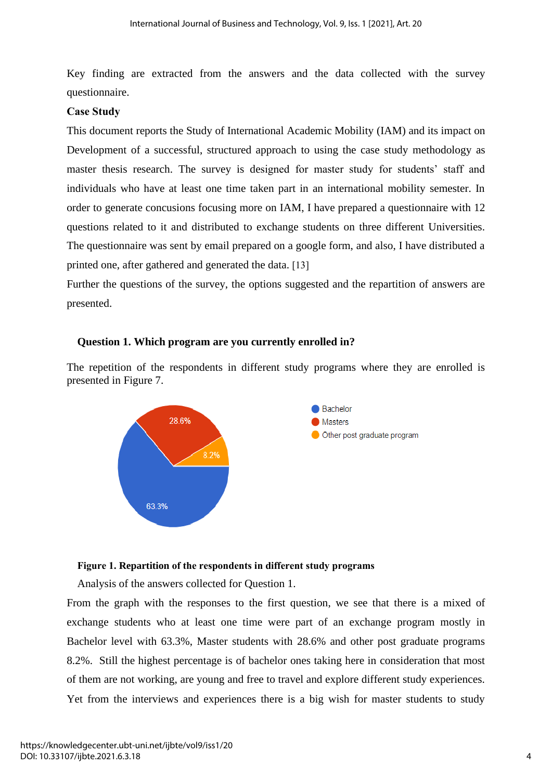Key finding are extracted from the answers and the data collected with the survey questionnaire.

### **Case Study**

This document reports the Study of International Academic Mobility (IAM) and its impact on Development of a successful, structured approach to using the case study methodology as master thesis research. The survey is designed for master study for students' staff and individuals who have at least one time taken part in an international mobility semester. In order to generate concusions focusing more on IAM, I have prepared a questionnaire with 12 questions related to it and distributed to exchange students on three different Universities. The questionnaire was sent by email prepared on a google form, and also, I have distributed a printed one, after gathered and generated the data. [13]

Further the questions of the survey, the options suggested and the repartition of answers are presented.

### **Question 1. Which program are you currently enrolled in?**

The repetition of the respondents in different study programs where they are enrolled is presented in Figure 7.



### **Figure 1. Repartition of the respondents in different study programs**

Analysis of the answers collected for Question 1.

From the graph with the responses to the first question, we see that there is a mixed of exchange students who at least one time were part of an exchange program mostly in Bachelor level with 63.3%, Master students with 28.6% and other post graduate programs 8.2%. Still the highest percentage is of bachelor ones taking here in consideration that most of them are not working, are young and free to travel and explore different study experiences. Yet from the interviews and experiences there is a big wish for master students to study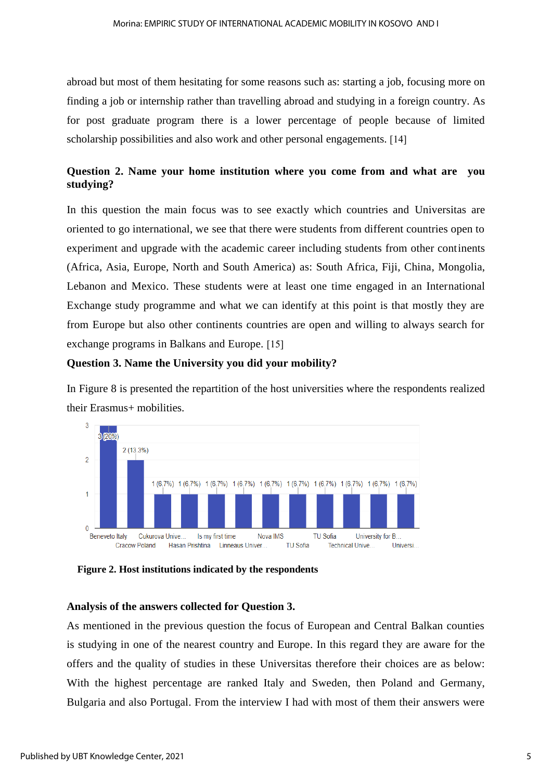abroad but most of them hesitating for some reasons such as: starting a job, focusing more on finding a job or internship rather than travelling abroad and studying in a foreign country. As for post graduate program there is a lower percentage of people because of limited scholarship possibilities and also work and other personal engagements. [14]

### **Question 2. Name your home institution where you come from and what are you studying?**

In this question the main focus was to see exactly which countries and Universitas are oriented to go international, we see that there were students from different countries open to experiment and upgrade with the academic career including students from other continents (Africa, Asia, Europe, North and South America) as: South Africa, Fiji, China, Mongolia, Lebanon and Mexico. These students were at least one time engaged in an International Exchange study programme and what we can identify at this point is that mostly they are from Europe but also other continents countries are open and willing to always search for exchange programs in Balkans and Europe. [15]

### **Question 3. Name the University you did your mobility?**

In Figure 8 is presented the repartition of the host universities where the respondents realized their Erasmus+ mobilities.



**Figure 2. Host institutions indicated by the respondents**

### **Analysis of the answers collected for Question 3.**

As mentioned in the previous question the focus of European and Central Balkan counties is studying in one of the nearest country and Europe. In this regard they are aware for the offers and the quality of studies in these Universitas therefore their choices are as below: With the highest percentage are ranked Italy and Sweden, then Poland and Germany, Bulgaria and also Portugal. From the interview I had with most of them their answers were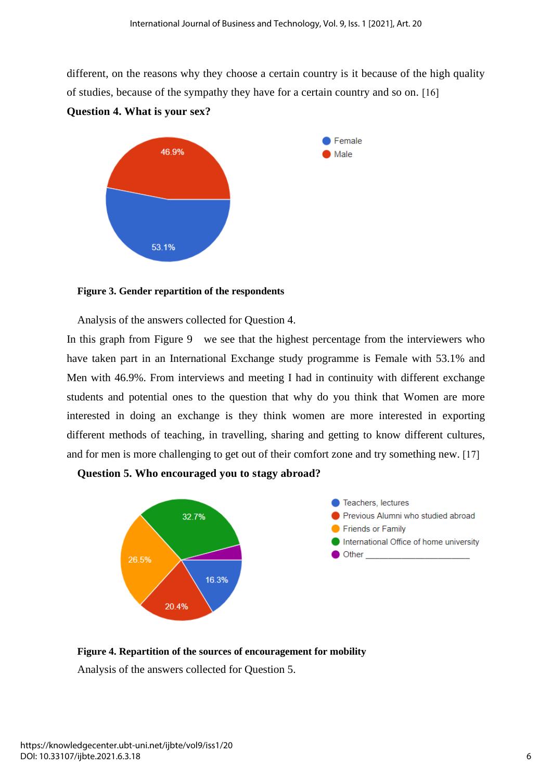different, on the reasons why they choose a certain country is it because of the high quality of studies, because of the sympathy they have for a certain country and so on. [16]



# **Figure 3. Gender repartition of the respondents**

**Question 4. What is your sex?** 

Analysis of the answers collected for Question 4.

In this graph from Figure 9 we see that the highest percentage from the interviewers who have taken part in an International Exchange study programme is Female with 53.1% and Men with 46.9%. From interviews and meeting I had in continuity with different exchange students and potential ones to the question that why do you think that Women are more interested in doing an exchange is they think women are more interested in exporting different methods of teaching, in travelling, sharing and getting to know different cultures, and for men is more challenging to get out of their comfort zone and try something new. [17]





**Figure 4. Repartition of the sources of encouragement for mobility**

Analysis of the answers collected for Question 5.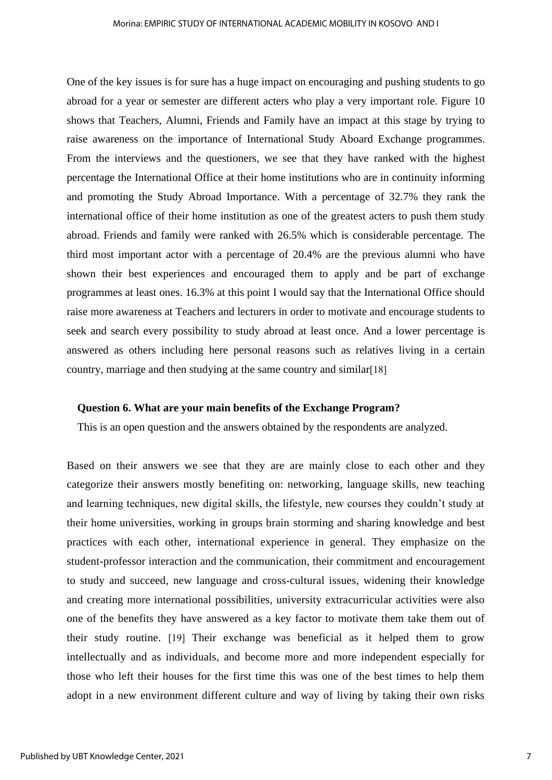One of the key issues is for sure has a huge impact on encouraging and pushing students to go abroad for a year or semester are different acters who play a very important role. Figure 10 shows that Teachers, Alumni, Friends and Family have an impact at this stage by trying to raise awareness on the importance of International Study Aboard Exchange programmes. From the interviews and the questioners, we see that they have ranked with the highest percentage the International Office at their home institutions who are in continuity informing and promoting the Study Abroad Importance. With a percentage of 32.7% they rank the international office of their home institution as one of the greatest acters to push them study abroad. Friends and family were ranked with 26.5% which is considerable percentage. The third most important actor with a percentage of 20.4% are the previous alumni who have shown their best experiences and encouraged them to apply and be part of exchange programmes at least ones. 16.3% at this point I would say that the International Office should raise more awareness at Teachers and lecturers in order to motivate and encourage students to seek and search every possibility to study abroad at least once. And a lower percentage is answered as others including here personal reasons such as relatives living in a certain country, marriage and then studying at the same country and similar[18]

### **Question 6. What are your main benefits of the Exchange Program?**

This is an open question and the answers obtained by the respondents are analyzed.

Based on their answers we see that they are are mainly close to each other and they categorize their answers mostly benefiting on: networking, language skills, new teaching and learning techniques, new digital skills, the lifestyle, new courses they couldn't study at their home universities, working in groups brain storming and sharing knowledge and best practices with each other, international experience in general. They emphasize on the student-professor interaction and the communication, their commitment and encouragement to study and succeed, new language and cross-cultural issues, widening their knowledge and creating more international possibilities, university extracurricular activities were also one of the benefits they have answered as a key factor to motivate them take them out of their study routine. [19] Their exchange was beneficial as it helped them to grow intellectually and as individuals, and become more and more independent especially for those who left their houses for the first time this was one of the best times to help them adopt in a new environment different culture and way of living by taking their own risks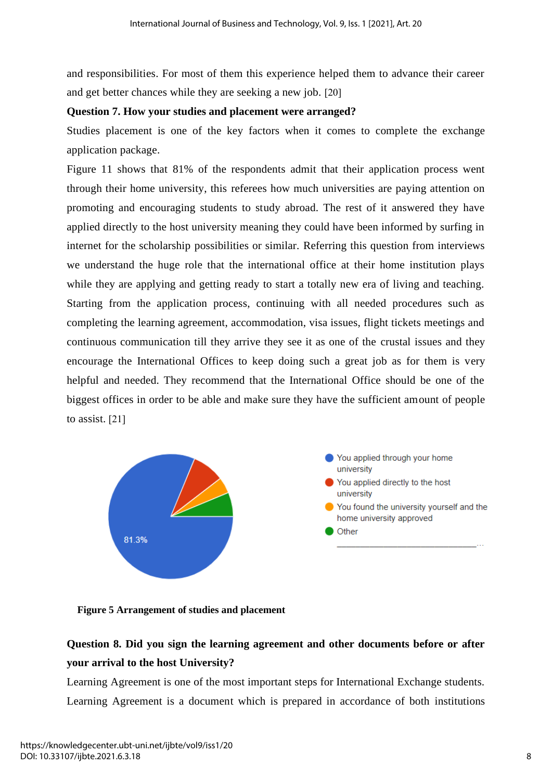and responsibilities. For most of them this experience helped them to advance their career and get better chances while they are seeking a new job. [20]

### **Question 7. How your studies and placement were arranged?**

Studies placement is one of the key factors when it comes to complete the exchange application package.

Figure 11 shows that 81% of the respondents admit that their application process went through their home university, this referees how much universities are paying attention on promoting and encouraging students to study abroad. The rest of it answered they have applied directly to the host university meaning they could have been informed by surfing in internet for the scholarship possibilities or similar. Referring this question from interviews we understand the huge role that the international office at their home institution plays while they are applying and getting ready to start a totally new era of living and teaching. Starting from the application process, continuing with all needed procedures such as completing the learning agreement, accommodation, visa issues, flight tickets meetings and continuous communication till they arrive they see it as one of the crustal issues and they encourage the International Offices to keep doing such a great job as for them is very helpful and needed. They recommend that the International Office should be one of the biggest offices in order to be able and make sure they have the sufficient amount of people to assist. [21]



**Figure 5 Arrangement of studies and placement**

## **Question 8. Did you sign the learning agreement and other documents before or after your arrival to the host University?**

Learning Agreement is one of the most important steps for International Exchange students. Learning Agreement is a document which is prepared in accordance of both institutions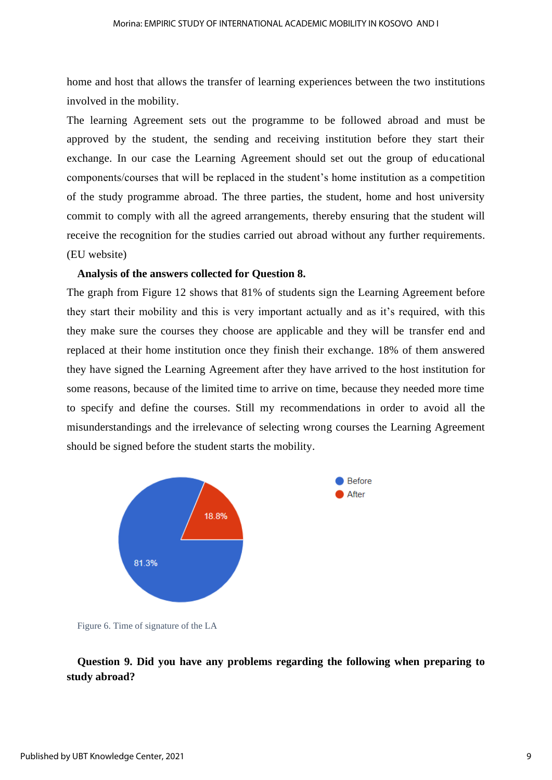home and host that allows the transfer of learning experiences between the two institutions involved in the mobility.

The learning Agreement sets out the programme to be followed abroad and must be approved by the student, the sending and receiving institution before they start their exchange. In our case the Learning Agreement should set out the group of educational components/courses that will be replaced in the student's home institution as a competition of the study programme abroad. The three parties, the student, home and host university commit to comply with all the agreed arrangements, thereby ensuring that the student will receive the recognition for the studies carried out abroad without any further requirements. (EU website)

### **Analysis of the answers collected for Question 8.**

The graph from Figure 12 shows that 81% of students sign the Learning Agreement before they start their mobility and this is very important actually and as it's required, with this they make sure the courses they choose are applicable and they will be transfer end and replaced at their home institution once they finish their exchange. 18% of them answered they have signed the Learning Agreement after they have arrived to the host institution for some reasons, because of the limited time to arrive on time, because they needed more time to specify and define the courses. Still my recommendations in order to avoid all the misunderstandings and the irrelevance of selecting wrong courses the Learning Agreement should be signed before the student starts the mobility.



Figure 6. Time of signature of the LA

### **Question 9. Did you have any problems regarding the following when preparing to study abroad?**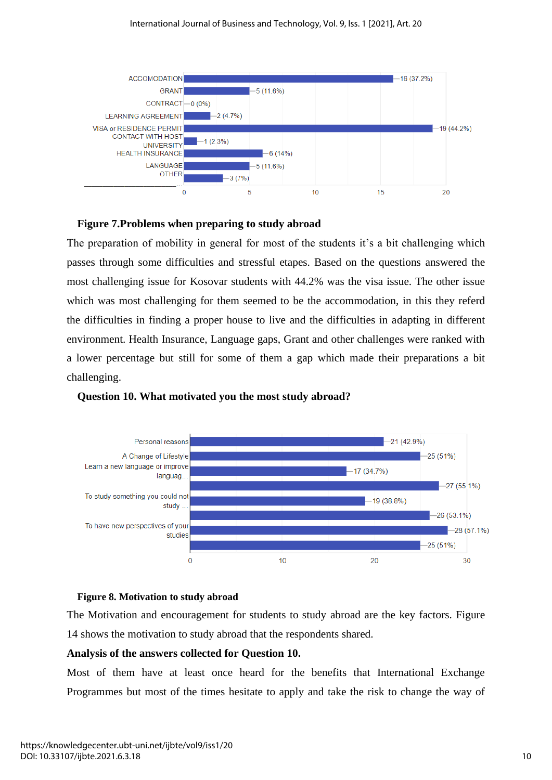### International Journal of Business and Technology, Vol. 9, Iss. 1 [2021], Art. 20



### **Figure 7.Problems when preparing to study abroad**

The preparation of mobility in general for most of the students it's a bit challenging which passes through some difficulties and stressful etapes. Based on the questions answered the most challenging issue for Kosovar students with 44.2% was the visa issue. The other issue which was most challenging for them seemed to be the accommodation, in this they referd the difficulties in finding a proper house to live and the difficulties in adapting in different environment. Health Insurance, Language gaps, Grant and other challenges were ranked with a lower percentage but still for some of them a gap which made their preparations a bit challenging.



### **Question 10. What motivated you the most study abroad?**

### **Figure 8. Motivation to study abroad**

The Motivation and encouragement for students to study abroad are the key factors. Figure 14 shows the motivation to study abroad that the respondents shared.

### **Analysis of the answers collected for Question 10.**

Most of them have at least once heard for the benefits that International Exchange Programmes but most of the times hesitate to apply and take the risk to change the way of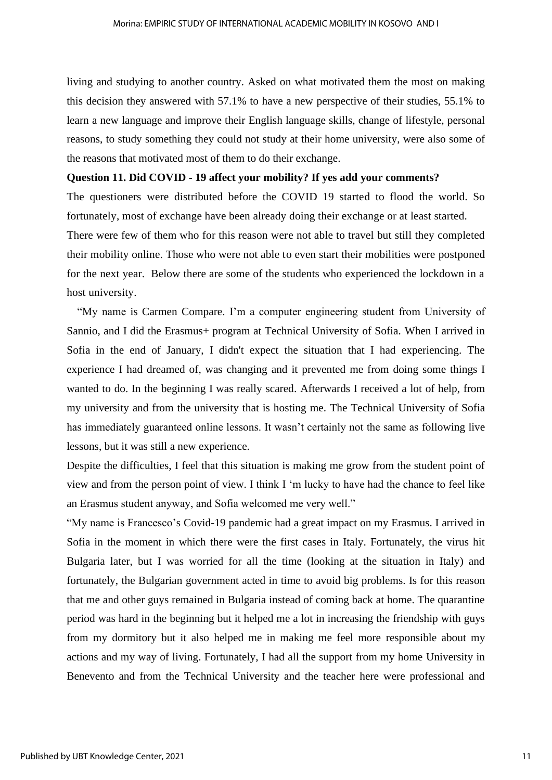living and studying to another country. Asked on what motivated them the most on making this decision they answered with 57.1% to have a new perspective of their studies, 55.1% to learn a new language and improve their English language skills, change of lifestyle, personal reasons, to study something they could not study at their home university, were also some of the reasons that motivated most of them to do their exchange.

### **Question 11. Did COVID - 19 affect your mobility? If yes add your comments?**

The questioners were distributed before the COVID 19 started to flood the world. So fortunately, most of exchange have been already doing their exchange or at least started.

There were few of them who for this reason were not able to travel but still they completed their mobility online. Those who were not able to even start their mobilities were postponed for the next year. Below there are some of the students who experienced the lockdown in a host university.

"My name is Carmen Compare. I'm a computer engineering student from University of Sannio, and I did the Erasmus+ program at Technical University of Sofia. When I arrived in Sofia in the end of January, I didn't expect the situation that I had experiencing. The experience I had dreamed of, was changing and it prevented me from doing some things I wanted to do. In the beginning I was really scared. Afterwards I received a lot of help, from my university and from the university that is hosting me. The Technical University of Sofia has immediately guaranteed online lessons. It wasn't certainly not the same as following live lessons, but it was still a new experience.

Despite the difficulties, I feel that this situation is making me grow from the student point of view and from the person point of view. I think I 'm lucky to have had the chance to feel like an Erasmus student anyway, and Sofia welcomed me very well."

"My name is Francesco's Covid-19 pandemic had a great impact on my Erasmus. I arrived in Sofia in the moment in which there were the first cases in Italy. Fortunately, the virus hit Bulgaria later, but I was worried for all the time (looking at the situation in Italy) and fortunately, the Bulgarian government acted in time to avoid big problems. Is for this reason that me and other guys remained in Bulgaria instead of coming back at home. The quarantine period was hard in the beginning but it helped me a lot in increasing the friendship with guys from my dormitory but it also helped me in making me feel more responsible about my actions and my way of living. Fortunately, I had all the support from my home University in Benevento and from the Technical University and the teacher here were professional and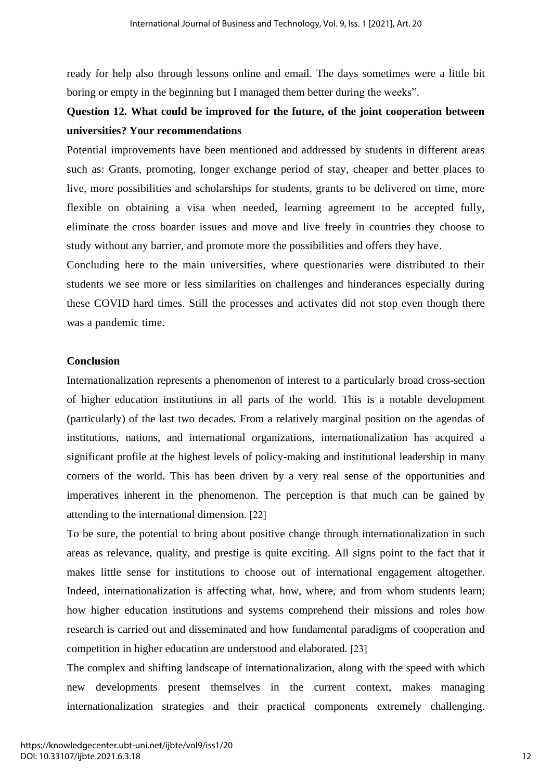ready for help also through lessons online and email. The days sometimes were a little bit boring or empty in the beginning but I managed them better during the weeks".

## **Question 12. What could be improved for the future, of the joint cooperation between universities? Your recommendations**

Potential improvements have been mentioned and addressed by students in different areas such as: Grants, promoting, longer exchange period of stay, cheaper and better places to live, more possibilities and scholarships for students, grants to be delivered on time, more flexible on obtaining a visa when needed, learning agreement to be accepted fully, eliminate the cross boarder issues and move and live freely in countries they choose to study without any barrier, and promote more the possibilities and offers they have.

Concluding here to the main universities, where questionaries were distributed to their students we see more or less similarities on challenges and hinderances especially during these COVID hard times. Still the processes and activates did not stop even though there was a pandemic time.

### **Conclusion**

Internationalization represents a phenomenon of interest to a particularly broad cross-section of higher education institutions in all parts of the world. This is a notable development (particularly) of the last two decades. From a relatively marginal position on the agendas of institutions, nations, and international organizations, internationalization has acquired a significant profile at the highest levels of policy-making and institutional leadership in many corners of the world. This has been driven by a very real sense of the opportunities and imperatives inherent in the phenomenon. The perception is that much can be gained by attending to the international dimension. [22]

To be sure, the potential to bring about positive change through internationalization in such areas as relevance, quality, and prestige is quite exciting. All signs point to the fact that it makes little sense for institutions to choose out of international engagement altogether. Indeed, internationalization is affecting what, how, where, and from whom students learn; how higher education institutions and systems comprehend their missions and roles how research is carried out and disseminated and how fundamental paradigms of cooperation and competition in higher education are understood and elaborated. [23]

The complex and shifting landscape of internationalization, along with the speed with which new developments present themselves in the current context, makes managing internationalization strategies and their practical components extremely challenging.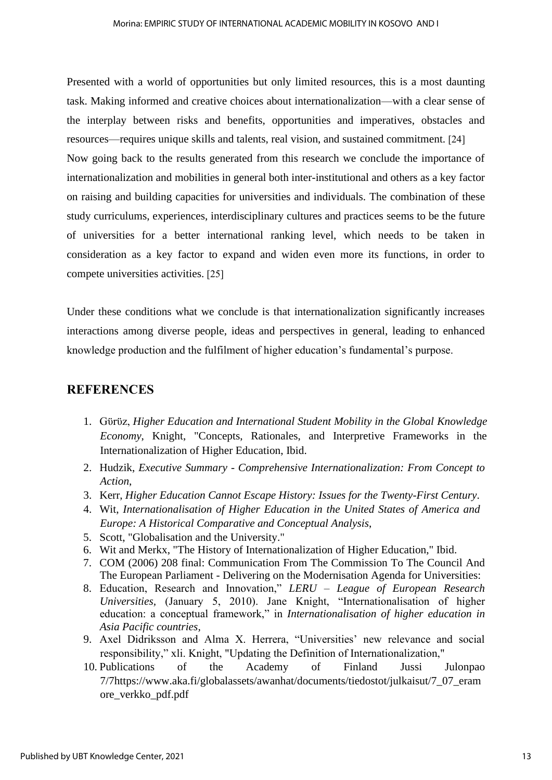Presented with a world of opportunities but only limited resources, this is a most daunting task. Making informed and creative choices about internationalization—with a clear sense of the interplay between risks and benefits, opportunities and imperatives, obstacles and resources—requires unique skills and talents, real vision, and sustained commitment. [24] Now going back to the results generated from this research we conclude the importance of internationalization and mobilities in general both inter-institutional and others as a key factor on raising and building capacities for universities and individuals. The combination of these study curriculums, experiences, interdisciplinary cultures and practices seems to be the future of universities for a better international ranking level, which needs to be taken in consideration as a key factor to expand and widen even more its functions, in order to compete universities activities. [25]

Under these conditions what we conclude is that internationalization significantly increases interactions among diverse people, ideas and perspectives in general, leading to enhanced knowledge production and the fulfilment of higher education's fundamental's purpose.

### **REFERENCES**

- 1. Gϋrϋz, *Higher Education and International Student Mobility in the Global Knowledge Economy*, Knight, "Concepts, Rationales, and Interpretive Frameworks in the Internationalization of Higher Education, Ibid.
- 2. Hudzik, *Executive Summary - Comprehensive Internationalization: From Concept to Action*,
- 3. Kerr, *Higher Education Cannot Escape History: Issues for the Twenty-First Century*.
- 4. Wit, *Internationalisation of Higher Education in the United States of America and Europe: A Historical Comparative and Conceptual Analysis*,
- 5. Scott, "Globalisation and the University."
- 6. Wit and Merkx, "The History of Internationalization of Higher Education," Ibid.
- 7. COM (2006) 208 final: Communication From The Commission To The Council And The European Parliament - Delivering on the Modernisation Agenda for Universities:
- 8. Education, Research and Innovation," *LERU – League of European Research Universities,* (January 5, 2010). Jane Knight, "Internationalisation of higher education: a conceptual framework," in *Internationalisation of higher education in Asia Pacific countries,*
- 9. Axel Didriksson and Alma X. Herrera, "Universities' new relevance and social responsibility," xli. Knight, "Updating the Definition of Internationalization,"
- 10. Publications of the Academy of Finland Jussi Julonpao 7/[7https://www.aka.fi/globalassets/awanhat/documents/tiedostot/julkaisut/7\\_07\\_eram](https://www.aka.fi/globalassets/awanhat/documents/tiedostot/julkaisut/7_07_eramore_verkko_pdf.pdf) [ore\\_verkko\\_pdf.pdf](https://www.aka.fi/globalassets/awanhat/documents/tiedostot/julkaisut/7_07_eramore_verkko_pdf.pdf)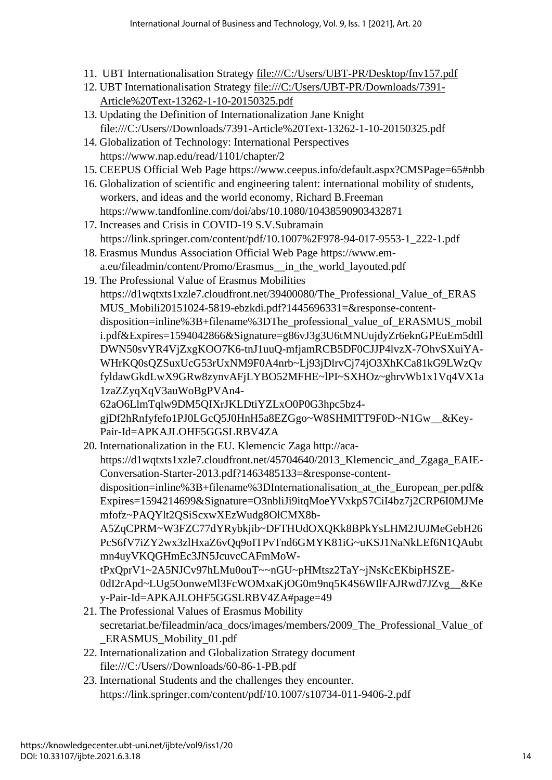- 11. UBT Internationalisation Strategy <file:///C:/Users/UBT-PR/Desktop/fnv157.pdf>
- 12. UBT Internationalisation Strategy [file:///C:/Users/UBT-PR/Downloads/7391-](../Downloads/7391-Article%20Text-13262-1-10-20150325.pdf) [Article%20Text-13262-1-10-20150325.pdf](../Downloads/7391-Article%20Text-13262-1-10-20150325.pdf)
- 13. Updating the Definition of Internationalization Jane Knight file:///C:/Users//Downloads/7391-Article%20Text-13262-1-10-20150325.pdf
- 14. Globalization of Technology: International Perspectives https://www.nap.edu/read/1101/chapter/2
- 15. CEEPUS Official Web Page https://www.ceepus.info/default.aspx?CMSPage=65#nbb
- 16. Globalization of scientific and engineering talent: international mobility of students, workers, and ideas and the world economy, Richard B.Freeman https://www.tandfonline.com/doi/abs/10.1080/10438590903432871
- 17. Increases and Crisis in COVID-19 S.V.Subramain https://link.springer.com/content/pdf/10.1007%2F978-94-017-9553-1\_222-1.pdf
- 18. Erasmus Mundus Association Official Web Page https://www.ema.eu/fileadmin/content/Promo/Erasmus\_\_in\_the\_world\_layouted.pdf
- 19. The Professional Value of Erasmus Mobilities https://d1wqtxts1xzle7.cloudfront.net/39400080/The\_Professional\_Value\_of\_ERAS MUS\_Mobili20151024-5819-ebzkdi.pdf?1445696331=&response-contentdisposition=inline%3B+filename%3DThe\_professional\_value\_of\_ERASMUS\_mobil i.pdf&Expires=1594042866&Signature=g86vJ3g3U6tMNUujdyZr6eknGPEuEm5dtll DWN50svYR4VjZxgKOO7K6-tnJ1uuQ-mfjamRCB5DF0CJJP4lvzX-7OhvSXuiYA-WHrKQ0sQZSuxUcG53rUxNM9F0A4nrb~Lj93jDlrvCj74jO3XhKCa81kG9LWzQv fyldawGkdLwX9GRw8zynvAFjLYBO52MFHE~lPI~SXHOz~ghrvWb1x1Vq4VX1a 1zaZZyqXqV3auWoBgPVAn4- 62aO6LlmTqlw9DM5QIXrJKLDtiYZLxO0P0G3hpc5bz4 gjDf2hRnfyfefo1PJ0LGcQ5J0HnH5a8EZGgo~W8SHMlTT9F0D~N1Gw\_\_&Key-Pair-Id=APKAJLOHF5GGSLRBV4ZA
- 20. Internationalization in the EU. Klemencic Zaga http://acahttps://d1wqtxts1xzle7.cloudfront.net/45704640/2013\_Klemencic\_and\_Zgaga\_EAIE-Conversation-Starter-2013.pdf?1463485133=&response-contentdisposition=inline%3B+filename%3DInternationalisation\_at\_the\_European\_per.pdf& Expires=1594214699&Signature=O3nbliJi9itqMoeYVxkpS7CiI4bz7j2CRP6I0MJMe mfofz~PAQYlt2QSiScxwXEzWudg8OlCMX8b-A5ZqCPRM~W3FZC77dYRybkjib~DFTHUdOXQKk8BPkYsLHM2JUJMeGebH26 PcS6fV7iZY2wx3zlHxaZ6vQq9oITPvTnd6GMYK81iG~uKSJ1NaNkLEf6N1QAubt mn4uyVKQGHmEc3JN5JcuvcCAFmMoWtPxQprV1~2A5NJCv97hLMu0ouT~~nGU~pHMtsz2TaY~jNsKcEKbipHSZE-0dI2rApd~LUg5OonweMl3FcWOMxaKjOG0m9nq5K4S6WIlFAJRwd7JZvg\_\_&Ke y-Pair-Id=APKAJLOHF5GGSLRBV4ZA#page=49
- 21. The Professional Values of Erasmus Mobility secretariat.be/fileadmin/aca\_docs/images/members/2009\_The\_Professional\_Value\_of \_ERASMUS\_Mobility\_01.pdf
- 22. Internationalization and Globalization Strategy document file:///C:/Users//Downloads/60-86-1-PB.pdf
- 23. International Students and the challenges they encounter. https://link.springer.com/content/pdf/10.1007/s10734-011-9406-2.pdf